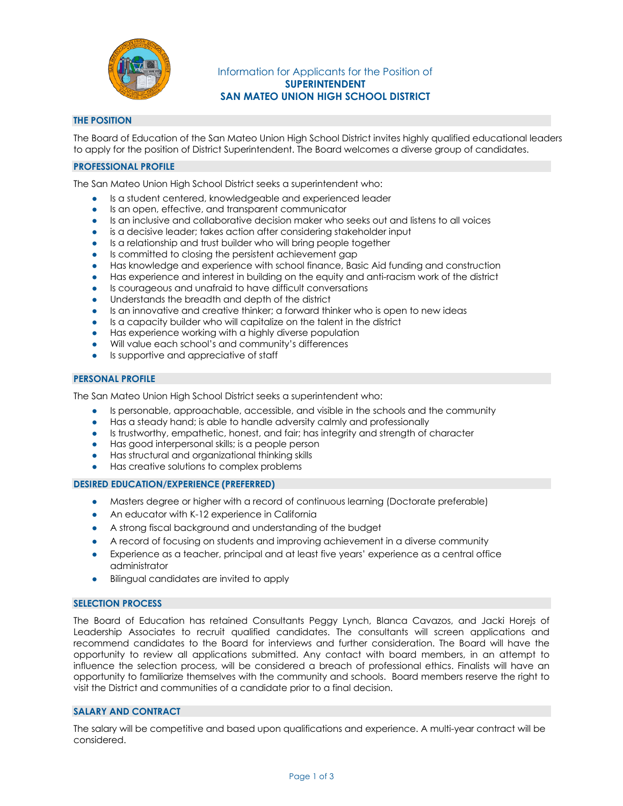

# Information for Applicants for the Position of **SUPERINTENDENT SAN MATEO UNION HIGH SCHOOL DISTRICT**

## **THE POSITION**

The Board of Education of the San Mateo Union High School District invites highly qualified educational leaders to apply for the position of District Superintendent. The Board welcomes a diverse group of candidates.

## **PROFESSIONAL PROFILE**

The San Mateo Union High School District seeks a superintendent who:

- Is a student centered, knowledgeable and experienced leader
- Is an open, effective, and transparent communicator
- Is an inclusive and collaborative decision maker who seeks out and listens to all voices
- is a decisive leader; takes action after considering stakeholder input
- Is a relationship and trust builder who will bring people together
- Is committed to closing the persistent achievement gap
- Has knowledge and experience with school finance, Basic Aid funding and construction
- Has experience and interest in building on the equity and anti-racism work of the district
- Is courageous and unafraid to have difficult conversations
- Understands the breadth and depth of the district
- Is an innovative and creative thinker; a forward thinker who is open to new ideas
- Is a capacity builder who will capitalize on the talent in the district
- Has experience working with a highly diverse population
- Will value each school's and community's differences
- Is supportive and appreciative of staff

### **PERSONAL PROFILE**

The San Mateo Union High School District seeks a superintendent who:

- Is personable, approachable, accessible, and visible in the schools and the community
- Has a steady hand; is able to handle adversity calmly and professionally
- Is trustworthy, empathetic, honest, and fair; has integrity and strength of character
- Has good interpersonal skills; is a people person
- Has structural and organizational thinking skills
- Has creative solutions to complex problems

## **DESIRED EDUCATION/EXPERIENCE (PREFERRED)**

- Masters degree or higher with a record of continuous learning (Doctorate preferable)
- An educator with K-12 experience in California
- A strong fiscal background and understanding of the budget
- A record of focusing on students and improving achievement in a diverse community
- Experience as a teacher, principal and at least five years' experience as a central office administrator
- Bilingual candidates are invited to apply

### **SELECTION PROCESS**

The Board of Education has retained Consultants Peggy Lynch, Blanca Cavazos, and Jacki Horejs of Leadership Associates to recruit qualified candidates. The consultants will screen applications and recommend candidates to the Board for interviews and further consideration. The Board will have the opportunity to review all applications submitted. Any contact with board members, in an attempt to influence the selection process, will be considered a breach of professional ethics. Finalists will have an opportunity to familiarize themselves with the community and schools. Board members reserve the right to visit the District and communities of a candidate prior to a final decision.

## **SALARY AND CONTRACT**

The salary will be competitive and based upon qualifications and experience. A multi-year contract will be considered.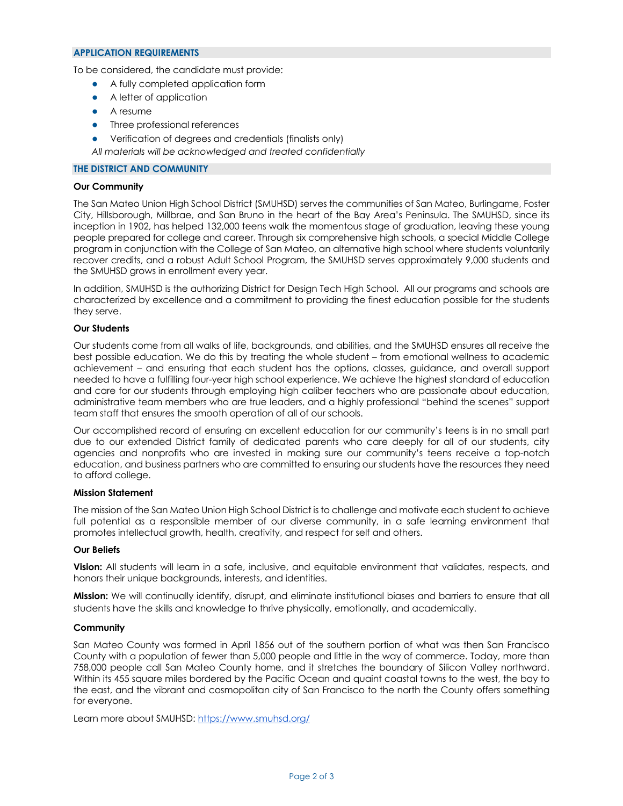### **APPLICATION REQUIREMENTS**

To be considered, the candidate must provide:

- A fully completed application form
- A letter of application
- A resume
- Three professional references
- Verification of degrees and credentials (finalists only)

*All materials will be acknowledged and treated confidentially*

## **THE DISTRICT AND COMMUNITY**

### **Our Community**

The San Mateo Union High School District (SMUHSD) serves the communities of San Mateo, Burlingame, Foster City, Hillsborough, Millbrae, and San Bruno in the heart of the Bay Area's Peninsula. The SMUHSD, since its inception in 1902, has helped 132,000 teens walk the momentous stage of graduation, leaving these young people prepared for college and career. Through six comprehensive high schools, a special Middle College program in conjunction with the College of San Mateo, an alternative high school where students voluntarily recover credits, and a robust Adult School Program, the SMUHSD serves approximately 9,000 students and the SMUHSD grows in enrollment every year.

In addition, SMUHSD is the authorizing District for Design Tech High School. All our programs and schools are characterized by excellence and a commitment to providing the finest education possible for the students they serve.

## **Our Students**

Our students come from all walks of life, backgrounds, and abilities, and the SMUHSD ensures all receive the best possible education. We do this by treating the whole student – from emotional wellness to academic achievement – and ensuring that each student has the options, classes, guidance, and overall support needed to have a fulfilling four-year high school experience. We achieve the highest standard of education and care for our students through employing high caliber teachers who are passionate about education, administrative team members who are true leaders, and a highly professional "behind the scenes" support team staff that ensures the smooth operation of all of our schools.

Our accomplished record of ensuring an excellent education for our community's teens is in no small part due to our extended District family of dedicated parents who care deeply for all of our students, city agencies and nonprofits who are invested in making sure our community's teens receive a top-notch education, and business partners who are committed to ensuring our students have the resources they need to afford college.

### **Mission Statement**

The mission of the San Mateo Union High School District is to challenge and motivate each student to achieve full potential as a responsible member of our diverse community, in a safe learning environment that promotes intellectual growth, health, creativity, and respect for self and others.

### **Our Beliefs**

**Vision:** All students will learn in a safe, inclusive, and equitable environment that validates, respects, and honors their unique backgrounds, interests, and identities.

**Mission:** We will continually identify, disrupt, and eliminate institutional biases and barriers to ensure that all students have the skills and knowledge to thrive physically, emotionally, and academically.

### **Community**

San Mateo County was formed in April 1856 out of the southern portion of what was then San Francisco County with a population of fewer than 5,000 people and little in the way of commerce. Today, more than 758,000 people call San Mateo County home, and it stretches the boundary of Silicon Valley northward. Within its 455 square miles bordered by the Pacific Ocean and quaint coastal towns to the west, the bay to the east, and the vibrant and cosmopolitan city of San Francisco to the north the County offers something for everyone.

Learn more about SMUHSD: https://www.smuhsd.org/